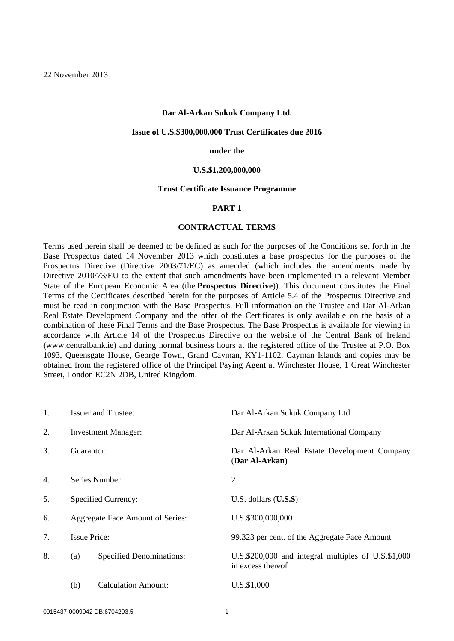#### **Dar Al-Arkan Sukuk Company Ltd.**

#### **Issue of U.S.\$300,000,000 Trust Certificates due 2016**

#### **under the**

#### **U.S.\$1,200,000,000**

#### **Trust Certificate Issuance Programme**

### **PART 1**

## **CONTRACTUAL TERMS**

Terms used herein shall be deemed to be defined as such for the purposes of the Conditions set forth in the Base Prospectus dated 14 November 2013 which constitutes a base prospectus for the purposes of the Prospectus Directive (Directive 2003/71/EC) as amended (which includes the amendments made by Directive 2010/73/EU to the extent that such amendments have been implemented in a relevant Member State of the European Economic Area (the **Prospectus Directive**)). This document constitutes the Final Terms of the Certificates described herein for the purposes of Article 5.4 of the Prospectus Directive and must be read in conjunction with the Base Prospectus. Full information on the Trustee and Dar Al-Arkan Real Estate Development Company and the offer of the Certificates is only available on the basis of a combination of these Final Terms and the Base Prospectus. The Base Prospectus is available for viewing in accordance with Article 14 of the Prospectus Directive on the website of the Central Bank of Ireland (www.centralbank.ie) and during normal business hours at the registered office of the Trustee at P.O. Box 1093, Queensgate House, George Town, Grand Cayman, KY1-1102, Cayman Islands and copies may be obtained from the registered office of the Principal Paying Agent at Winchester House, 1 Great Winchester Street, London EC2N 2DB, United Kingdom.

| 1. | <b>Issuer and Trustee:</b>             |                     | Dar Al-Arkan Sukuk Company Ltd.                                          |  |  |
|----|----------------------------------------|---------------------|--------------------------------------------------------------------------|--|--|
| 2. | <b>Investment Manager:</b>             |                     | Dar Al-Arkan Sukuk International Company                                 |  |  |
| 3. | Guarantor:                             |                     | Dar Al-Arkan Real Estate Development Company<br>(Dar Al-Arkan)           |  |  |
| 4. | Series Number:                         |                     | 2                                                                        |  |  |
| 5. | Specified Currency:                    |                     | U.S. dollars $(U.S.\$)$                                                  |  |  |
| 6. | Aggregate Face Amount of Series:       |                     | U.S.\$300,000,000                                                        |  |  |
| 7. | <b>Issue Price:</b>                    |                     | 99.323 per cent. of the Aggregate Face Amount                            |  |  |
| 8. | <b>Specified Denominations:</b><br>(a) |                     | U.S.\$200,000 and integral multiples of U.S.\$1,000<br>in excess thereof |  |  |
|    | (b)                                    | Calculation Amount: | U.S.\$1,000                                                              |  |  |
|    |                                        |                     |                                                                          |  |  |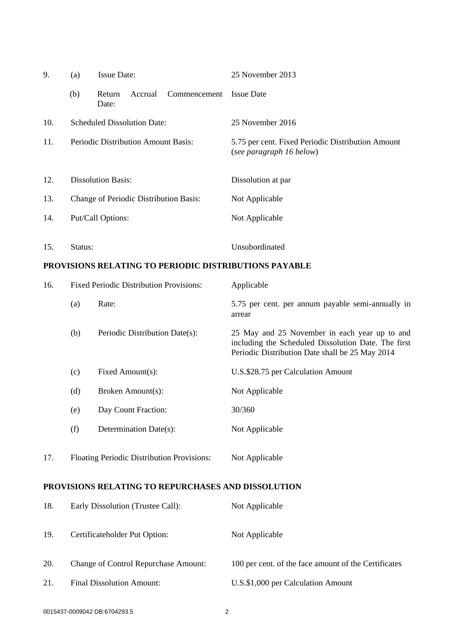| 9.  | (a)                                            | <b>Issue Date:</b>                                    | 25 November 2013                                                                                                                                        |  |  |
|-----|------------------------------------------------|-------------------------------------------------------|---------------------------------------------------------------------------------------------------------------------------------------------------------|--|--|
|     | (b)                                            | Accrual<br>Commencement<br>Return<br>Date:            | <b>Issue Date</b>                                                                                                                                       |  |  |
| 10. | <b>Scheduled Dissolution Date:</b>             |                                                       | 25 November 2016                                                                                                                                        |  |  |
| 11. | Periodic Distribution Amount Basis:            |                                                       | 5.75 per cent. Fixed Periodic Distribution Amount<br>(see paragraph 16 below)                                                                           |  |  |
| 12. | <b>Dissolution Basis:</b>                      |                                                       | Dissolution at par                                                                                                                                      |  |  |
| 13. | Change of Periodic Distribution Basis:         |                                                       | Not Applicable                                                                                                                                          |  |  |
| 14. | Put/Call Options:                              |                                                       | Not Applicable                                                                                                                                          |  |  |
| 15. | Status:                                        |                                                       | Unsubordinated                                                                                                                                          |  |  |
|     |                                                | PROVISIONS RELATING TO PERIODIC DISTRIBUTIONS PAYABLE |                                                                                                                                                         |  |  |
| 16. | <b>Fixed Periodic Distribution Provisions:</b> |                                                       |                                                                                                                                                         |  |  |
|     |                                                |                                                       | Applicable                                                                                                                                              |  |  |
|     | (a)                                            | Rate:                                                 | 5.75 per cent. per annum payable semi-annually in<br>arrear                                                                                             |  |  |
|     | (b)                                            | Periodic Distribution Date(s):                        | 25 May and 25 November in each year up to and<br>including the Scheduled Dissolution Date. The first<br>Periodic Distribution Date shall be 25 May 2014 |  |  |
|     | (c)                                            | Fixed Amount(s):                                      | U.S.\$28.75 per Calculation Amount                                                                                                                      |  |  |
|     | (d)                                            | Broken Amount(s):                                     | Not Applicable                                                                                                                                          |  |  |
|     | (e)                                            | Day Count Fraction:                                   | 30/360                                                                                                                                                  |  |  |

17. Floating Periodic Distribution Provisions: Not Applicable

# **PROVISIONS RELATING TO REPURCHASES AND DISSOLUTION**

| 18. | Early Dissolution (Trustee Call):           | Not Applicable                                       |
|-----|---------------------------------------------|------------------------------------------------------|
| 19. | Certificateholder Put Option:               | Not Applicable                                       |
| 20. | <b>Change of Control Repurchase Amount:</b> | 100 per cent. of the face amount of the Certificates |
| 21. | <b>Final Dissolution Amount:</b>            | U.S.\$1,000 per Calculation Amount                   |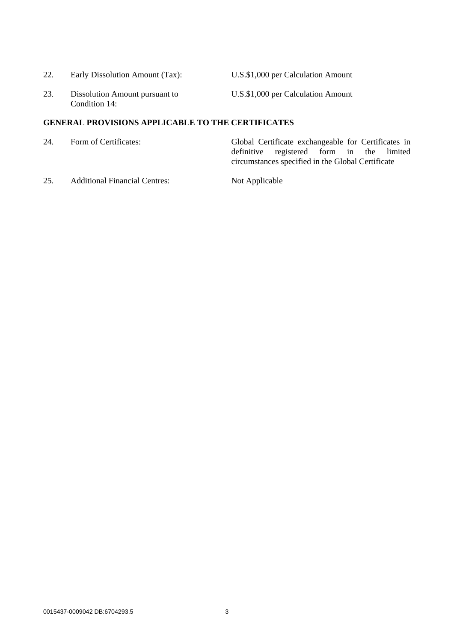| 22. | Early Dissolution Amount (Tax): |  |
|-----|---------------------------------|--|
|     |                                 |  |

U.S.\$1,000 per Calculation Amount

23. Dissolution Amount pursuant to Condition 14:

U.S.\$1,000 per Calculation Amount

# **GENERAL PROVISIONS APPLICABLE TO THE CERTIFICATES**

- 24. Form of Certificates: Global Certificate exchangeable for Certificates in definitive registered form in the limited circumstances specified in the Global Certificate
- 25. Additional Financial Centres: Not Applicable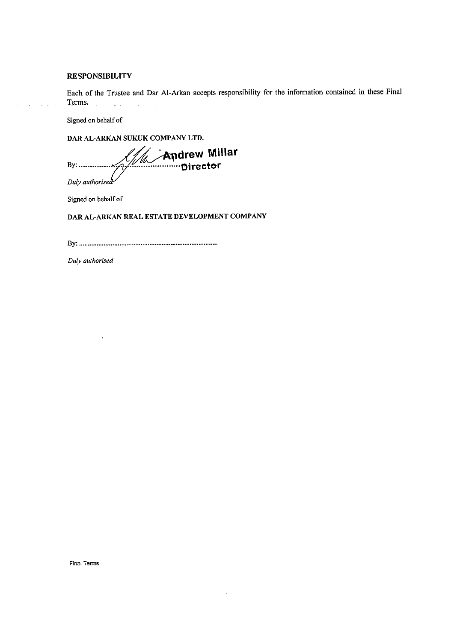### **RESPONSIBILITY**

Each of the Trustee and Dar Al-Arkan accepts responsibility for the information contained in these Final Terms.  $\hat{A}$  and  $\hat{A}$  and  $\hat{A}$  $\mathcal{L}_{\mathcal{L}}$ 

 $\ddot{\phantom{a}}$ 

Signed on behalf of

 $\mathcal{L}_{\text{max}}$ 

DAR AL-ARKAN SUKUK COMPANY LTD.

**Andrew Millar**<br>Director By: .................. Duly authorised

Signed on behalf of

# DAR AL-ARKAN REAL ESTATE DEVELOPMENT COMPANY

Duly authorised

Final Terms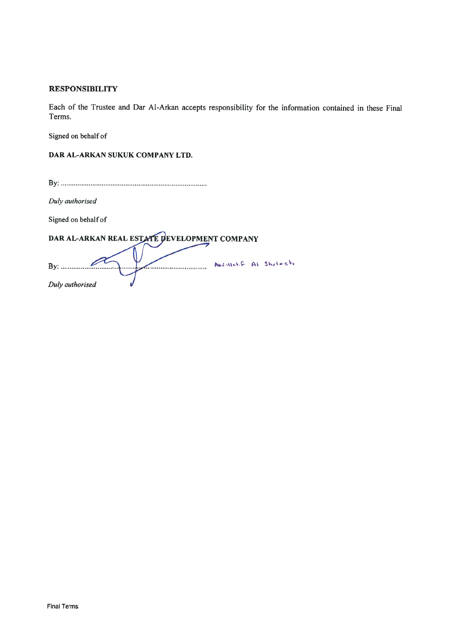# **RESPONSIBILITY**

Each of the Trustee and Dar Al-Arkan accepts responsibility for the information contained in these Final Terms.

Signed on behalf of

DAR AL-ARKAN SUKUK COMPANY LTD.

Duly authorised

Signed on behalf of

DAR AL-ARKAN REAL ESTATE DEVELOPMENT COMPANY

| Bv:             | <br>Abdallet. F Al Shelosh |  |
|-----------------|----------------------------|--|
|                 |                            |  |
| Duly authorised |                            |  |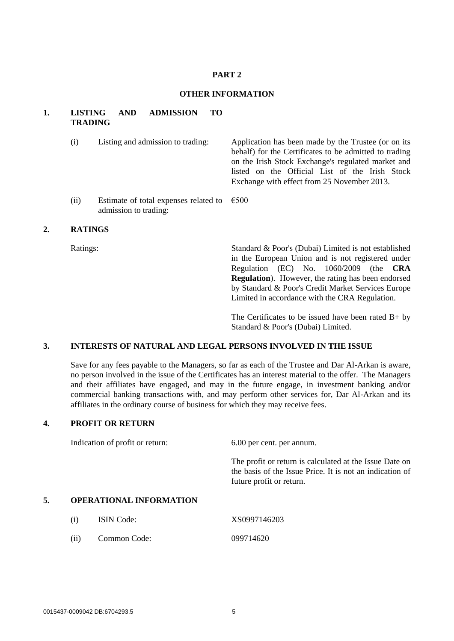## **PART 2**

## **OTHER INFORMATION**

## **1. LISTING AND ADMISSION TO TRADING**

| (i)  | Listing and admission to trading:                                             | Application has been made by the Trustee (or on its<br>behalf) for the Certificates to be admitted to trading<br>on the Irish Stock Exchange's regulated market and<br>listed on the Official List of the Irish Stock<br>Exchange with effect from 25 November 2013. |  |  |  |
|------|-------------------------------------------------------------------------------|----------------------------------------------------------------------------------------------------------------------------------------------------------------------------------------------------------------------------------------------------------------------|--|--|--|
| (ii) | Estimate of total expenses related to $\epsilon$ 500<br>admission to trading: |                                                                                                                                                                                                                                                                      |  |  |  |

## **2. RATINGS**

Ratings: Standard & Poor's (Dubai) Limited is not established in the European Union and is not registered under Regulation (EC) No. 1060/2009 (the **CRA Regulation**). However, the rating has been endorsed by Standard & Poor's Credit Market Services Europe Limited in accordance with the CRA Regulation.

> The Certificates to be issued have been rated  $B+$  by Standard & Poor's (Dubai) Limited.

# **3. INTERESTS OF NATURAL AND LEGAL PERSONS INVOLVED IN THE ISSUE**

Save for any fees payable to the Managers, so far as each of the Trustee and Dar Al-Arkan is aware, no person involved in the issue of the Certificates has an interest material to the offer. The Managers and their affiliates have engaged, and may in the future engage, in investment banking and/or commercial banking transactions with, and may perform other services for, Dar Al-Arkan and its affiliates in the ordinary course of business for which they may receive fees.

### **4. PROFIT OR RETURN**

|    | Indication of profit or return: | 6.00 per cent. per annum.                                                                                                                       |
|----|---------------------------------|-------------------------------------------------------------------------------------------------------------------------------------------------|
|    |                                 | The profit or return is calculated at the Issue Date on<br>the basis of the Issue Price. It is not an indication of<br>future profit or return. |
| 5. | <b>OPERATIONAL INFORMATION</b>  |                                                                                                                                                 |

(i) ISIN Code: XS0997146203 (ii) Common Code: 099714620